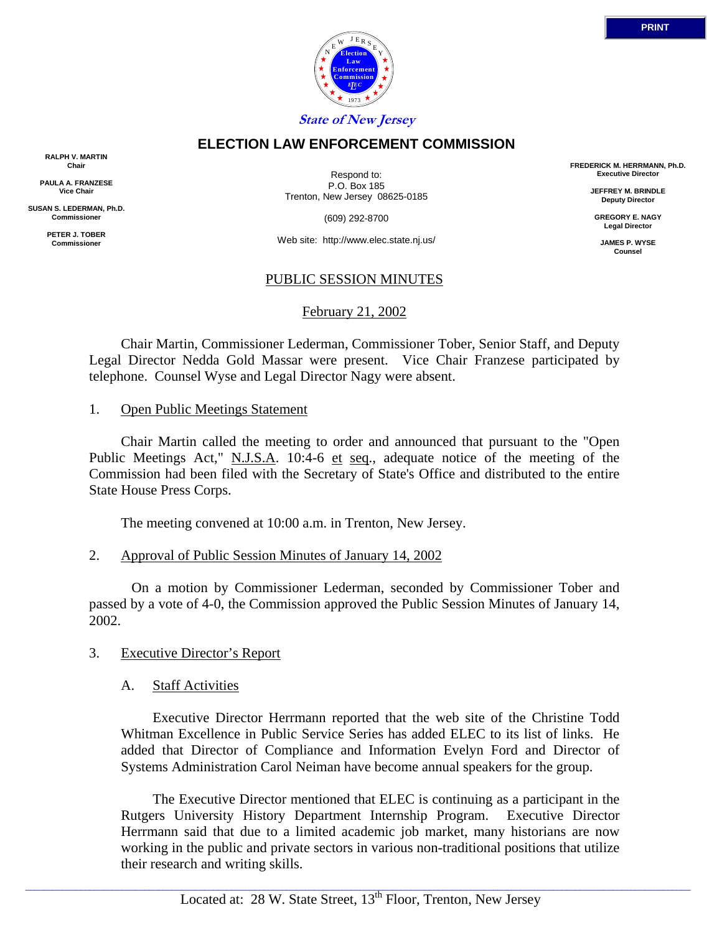

# **ELECTION LAW ENFORCEMENT COMMISSION**

**RALPH V. MARTIN Chair**

**PAULA A. FRANZESE Vice Chair**

**SUSAN S. LEDERMAN, Ph.D. Commissioner**

> **PETER J. TOBER Commissioner**

Respond to: P.O. Box 185 Trenton, New Jersey 08625-0185

(609) 292-8700

Web site: http://www.elec.state.nj.us/

## PUBLIC SESSION MINUTES

February 21, 2002

 Chair Martin, Commissioner Lederman, Commissioner Tober, Senior Staff, and Deputy Legal Director Nedda Gold Massar were present. Vice Chair Franzese participated by telephone. Counsel Wyse and Legal Director Nagy were absent.

#### 1. Open Public Meetings Statement

 Chair Martin called the meeting to order and announced that pursuant to the "Open Public Meetings Act," N.J.S.A. 10:4-6 et seq., adequate notice of the meeting of the Commission had been filed with the Secretary of State's Office and distributed to the entire State House Press Corps.

The meeting convened at 10:00 a.m. in Trenton, New Jersey.

#### 2. Approval of Public Session Minutes of January 14, 2002

 On a motion by Commissioner Lederman, seconded by Commissioner Tober and passed by a vote of 4-0, the Commission approved the Public Session Minutes of January 14, 2002.

#### 3. Executive Director's Report

#### A. Staff Activities

 Executive Director Herrmann reported that the web site of the Christine Todd Whitman Excellence in Public Service Series has added ELEC to its list of links. He added that Director of Compliance and Information Evelyn Ford and Director of Systems Administration Carol Neiman have become annual speakers for the group.

 The Executive Director mentioned that ELEC is continuing as a participant in the Rutgers University History Department Internship Program. Executive Director Herrmann said that due to a limited academic job market, many historians are now working in the public and private sectors in various non-traditional positions that utilize their research and writing skills.

 $\_$  ,  $\_$  ,  $\_$  ,  $\_$  ,  $\_$  ,  $\_$  ,  $\_$  ,  $\_$  ,  $\_$  ,  $\_$  ,  $\_$  ,  $\_$  ,  $\_$  ,  $\_$  ,  $\_$  ,  $\_$  ,  $\_$  ,  $\_$  ,  $\_$  ,  $\_$  ,  $\_$  ,  $\_$  ,  $\_$  ,  $\_$  ,  $\_$  ,  $\_$  ,  $\_$  ,  $\_$  ,  $\_$  ,  $\_$  ,  $\_$  ,  $\_$  ,  $\_$  ,  $\_$  ,  $\_$  ,  $\_$  ,  $\_$  ,

**FREDERICK M. HERRMANN, Ph.D. Executive Director**

> **JEFFREY M. BRINDLE Deputy Director**

**GREGORY E. NAGY Legal Director**

**JAMES P. WYSE Counsel**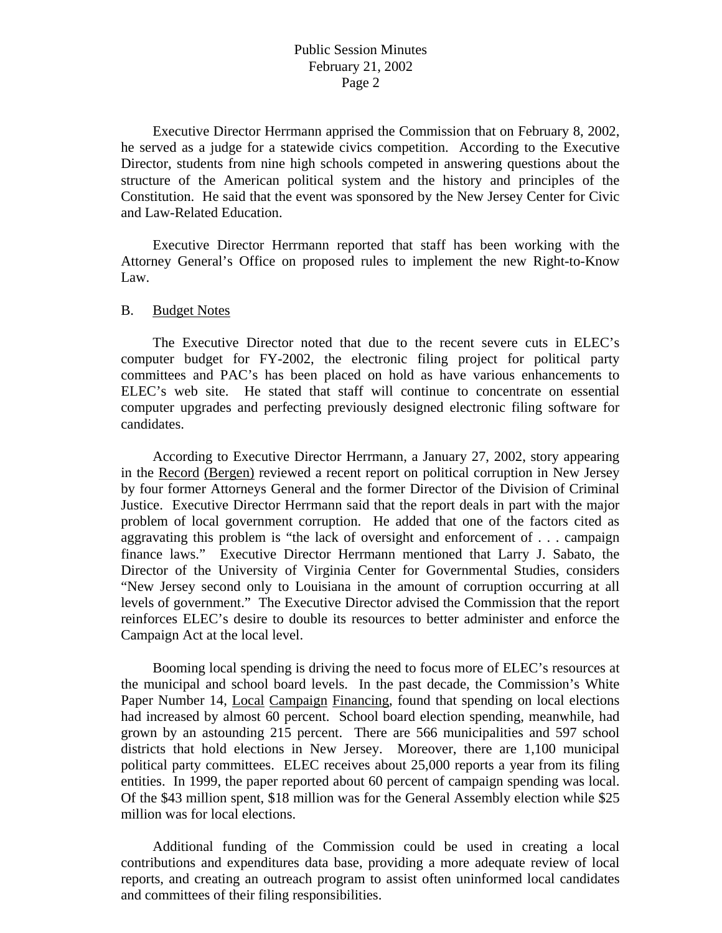Executive Director Herrmann apprised the Commission that on February 8, 2002, he served as a judge for a statewide civics competition. According to the Executive Director, students from nine high schools competed in answering questions about the structure of the American political system and the history and principles of the Constitution. He said that the event was sponsored by the New Jersey Center for Civic and Law-Related Education.

 Executive Director Herrmann reported that staff has been working with the Attorney General's Office on proposed rules to implement the new Right-to-Know Law.

#### B. Budget Notes

 The Executive Director noted that due to the recent severe cuts in ELEC's computer budget for FY-2002, the electronic filing project for political party committees and PAC's has been placed on hold as have various enhancements to ELEC's web site. He stated that staff will continue to concentrate on essential computer upgrades and perfecting previously designed electronic filing software for candidates.

 According to Executive Director Herrmann, a January 27, 2002, story appearing in the Record (Bergen) reviewed a recent report on political corruption in New Jersey by four former Attorneys General and the former Director of the Division of Criminal Justice. Executive Director Herrmann said that the report deals in part with the major problem of local government corruption. He added that one of the factors cited as aggravating this problem is "the lack of oversight and enforcement of . . . campaign finance laws." Executive Director Herrmann mentioned that Larry J. Sabato, the Director of the University of Virginia Center for Governmental Studies, considers "New Jersey second only to Louisiana in the amount of corruption occurring at all levels of government." The Executive Director advised the Commission that the report reinforces ELEC's desire to double its resources to better administer and enforce the Campaign Act at the local level.

 Booming local spending is driving the need to focus more of ELEC's resources at the municipal and school board levels. In the past decade, the Commission's White Paper Number 14, Local Campaign Financing, found that spending on local elections had increased by almost 60 percent. School board election spending, meanwhile, had grown by an astounding 215 percent. There are 566 municipalities and 597 school districts that hold elections in New Jersey. Moreover, there are 1,100 municipal political party committees. ELEC receives about 25,000 reports a year from its filing entities. In 1999, the paper reported about 60 percent of campaign spending was local. Of the \$43 million spent, \$18 million was for the General Assembly election while \$25 million was for local elections.

 Additional funding of the Commission could be used in creating a local contributions and expenditures data base, providing a more adequate review of local reports, and creating an outreach program to assist often uninformed local candidates and committees of their filing responsibilities.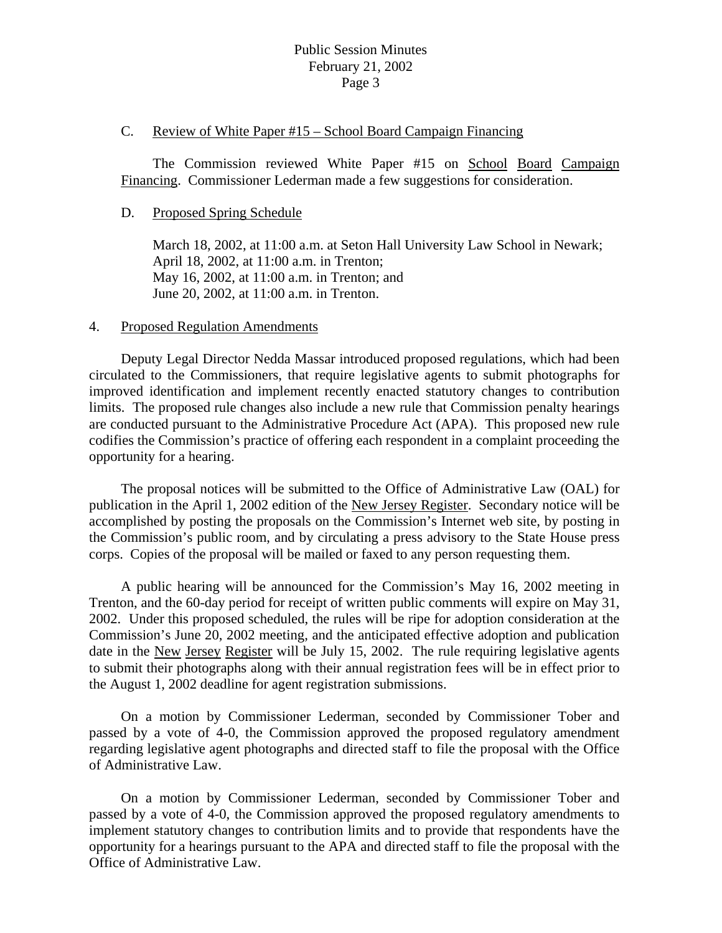# Public Session Minutes February 21, 2002 Page 3

#### C. Review of White Paper #15 – School Board Campaign Financing

 The Commission reviewed White Paper #15 on School Board Campaign Financing. Commissioner Lederman made a few suggestions for consideration.

### D. Proposed Spring Schedule

 March 18, 2002, at 11:00 a.m. at Seton Hall University Law School in Newark; April 18, 2002, at 11:00 a.m. in Trenton; May 16, 2002, at 11:00 a.m. in Trenton; and June 20, 2002, at 11:00 a.m. in Trenton.

### 4. Proposed Regulation Amendments

 Deputy Legal Director Nedda Massar introduced proposed regulations, which had been circulated to the Commissioners, that require legislative agents to submit photographs for improved identification and implement recently enacted statutory changes to contribution limits. The proposed rule changes also include a new rule that Commission penalty hearings are conducted pursuant to the Administrative Procedure Act (APA). This proposed new rule codifies the Commission's practice of offering each respondent in a complaint proceeding the opportunity for a hearing.

 The proposal notices will be submitted to the Office of Administrative Law (OAL) for publication in the April 1, 2002 edition of the New Jersey Register. Secondary notice will be accomplished by posting the proposals on the Commission's Internet web site, by posting in the Commission's public room, and by circulating a press advisory to the State House press corps. Copies of the proposal will be mailed or faxed to any person requesting them.

 A public hearing will be announced for the Commission's May 16, 2002 meeting in Trenton, and the 60-day period for receipt of written public comments will expire on May 31, 2002. Under this proposed scheduled, the rules will be ripe for adoption consideration at the Commission's June 20, 2002 meeting, and the anticipated effective adoption and publication date in the New Jersey Register will be July 15, 2002. The rule requiring legislative agents to submit their photographs along with their annual registration fees will be in effect prior to the August 1, 2002 deadline for agent registration submissions.

 On a motion by Commissioner Lederman, seconded by Commissioner Tober and passed by a vote of 4-0, the Commission approved the proposed regulatory amendment regarding legislative agent photographs and directed staff to file the proposal with the Office of Administrative Law.

 On a motion by Commissioner Lederman, seconded by Commissioner Tober and passed by a vote of 4-0, the Commission approved the proposed regulatory amendments to implement statutory changes to contribution limits and to provide that respondents have the opportunity for a hearings pursuant to the APA and directed staff to file the proposal with the Office of Administrative Law.